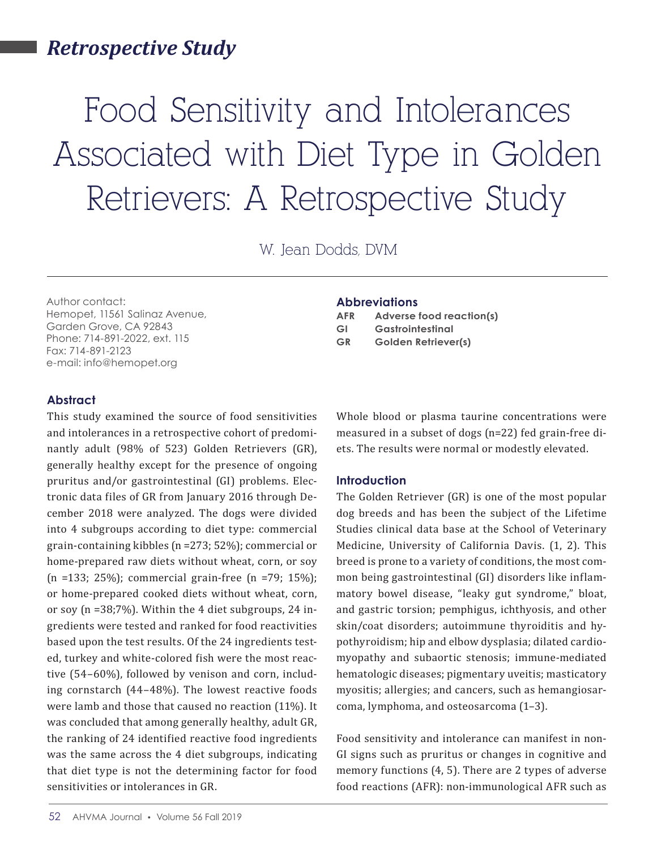# *Retrospective Study*

# Food Sensitivity and Intolerances Associated with Diet Type in Golden Retrievers: A Retrospective Study

W. Jean Dodds, DVM

Author contact: Hemopet, 11561 Salinaz Avenue, Garden Grove, CA 92843 Phone: 714-891-2022, ext. 115 Fax: 714-891-2123 e-mail: info@hemopet.org

#### **Abbreviations**

| <b>AFR</b> | Adverse food reaction(s)   |
|------------|----------------------------|
| GI         | Gastrointestinal           |
| <b>GR</b>  | <b>Golden Retriever(s)</b> |

#### **Abstract**

This study examined the source of food sensitivities and intolerances in a retrospective cohort of predominantly adult (98% of 523) Golden Retrievers (GR), generally healthy except for the presence of ongoing pruritus and/or gastrointestinal (GI) problems. Electronic data files of GR from January 2016 through December 2018 were analyzed. The dogs were divided into 4 subgroups according to diet type: commercial grain-containing kibbles (n =273; 52%); commercial or home-prepared raw diets without wheat, corn, or soy (n =133; 25%); commercial grain-free (n =79; 15%); or home-prepared cooked diets without wheat, corn, or soy (n =38;7%). Within the 4 diet subgroups, 24 ingredients were tested and ranked for food reactivities based upon the test results. Of the 24 ingredients tested, turkey and white-colored fish were the most reactive (54–60%), followed by venison and corn, including cornstarch (44–48%). The lowest reactive foods were lamb and those that caused no reaction (11%). It was concluded that among generally healthy, adult GR, the ranking of 24 identified reactive food ingredients was the same across the 4 diet subgroups, indicating that diet type is not the determining factor for food sensitivities or intolerances in GR.

Whole blood or plasma taurine concentrations were measured in a subset of dogs (n=22) fed grain-free diets. The results were normal or modestly elevated.

#### **Introduction**

The Golden Retriever (GR) is one of the most popular dog breeds and has been the subject of the Lifetime Studies clinical data base at the School of Veterinary Medicine, University of California Davis. (1, 2). This breed is prone to a variety of conditions, the most common being gastrointestinal (GI) disorders like inflammatory bowel disease, "leaky gut syndrome," bloat, and gastric torsion; pemphigus, ichthyosis, and other skin/coat disorders; autoimmune thyroiditis and hypothyroidism; hip and elbow dysplasia; dilated cardiomyopathy and subaortic stenosis; immune-mediated hematologic diseases; pigmentary uveitis; masticatory myositis; allergies; and cancers, such as hemangiosarcoma, lymphoma, and osteosarcoma (1–3).

Food sensitivity and intolerance can manifest in non-GI signs such as pruritus or changes in cognitive and memory functions (4, 5). There are 2 types of adverse food reactions (AFR): non-immunological AFR such as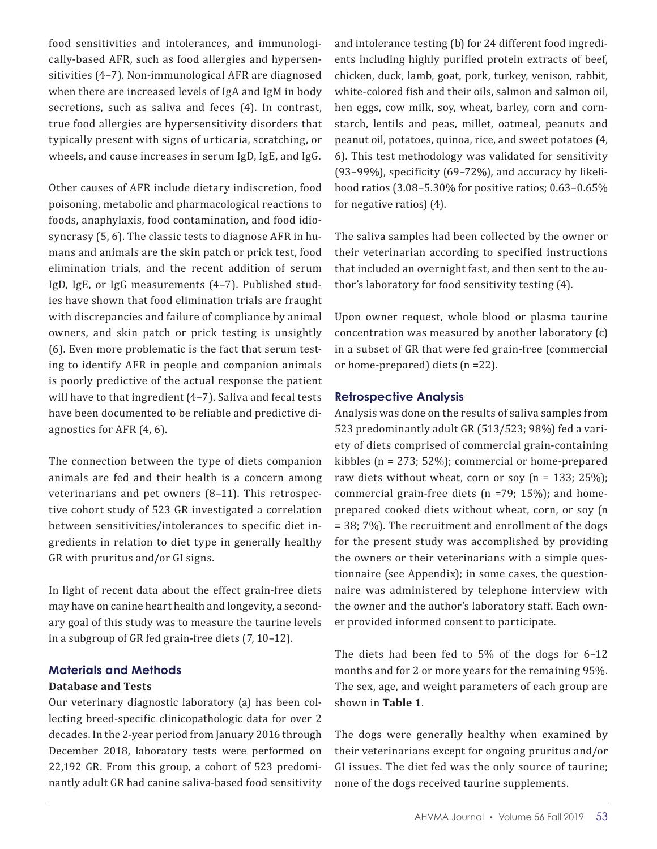food sensitivities and intolerances, and immunologically-based AFR, such as food allergies and hypersensitivities (4–7). Non-immunological AFR are diagnosed when there are increased levels of IgA and IgM in body secretions, such as saliva and feces (4). In contrast, true food allergies are hypersensitivity disorders that typically present with signs of urticaria, scratching, or wheels, and cause increases in serum IgD, IgE, and IgG.

Other causes of AFR include dietary indiscretion, food poisoning, metabolic and pharmacological reactions to foods, anaphylaxis, food contamination, and food idiosyncrasy (5, 6). The classic tests to diagnose AFR in humans and animals are the skin patch or prick test, food elimination trials, and the recent addition of serum IgD, IgE, or IgG measurements (4–7). Published studies have shown that food elimination trials are fraught with discrepancies and failure of compliance by animal owners, and skin patch or prick testing is unsightly (6). Even more problematic is the fact that serum testing to identify AFR in people and companion animals is poorly predictive of the actual response the patient will have to that ingredient (4–7). Saliva and fecal tests have been documented to be reliable and predictive diagnostics for AFR (4, 6).

The connection between the type of diets companion animals are fed and their health is a concern among veterinarians and pet owners (8–11). This retrospective cohort study of 523 GR investigated a correlation between sensitivities/intolerances to specific diet ingredients in relation to diet type in generally healthy GR with pruritus and/or GI signs.

In light of recent data about the effect grain-free diets may have on canine heart health and longevity, a secondary goal of this study was to measure the taurine levels in a subgroup of GR fed grain-free diets (7, 10–12).

### **Materials and Methods**

### **Database and Tests**

Our veterinary diagnostic laboratory (a) has been collecting breed-specific clinicopathologic data for over 2 decades. In the 2-year period from January 2016 through December 2018, laboratory tests were performed on 22,192 GR. From this group, a cohort of 523 predominantly adult GR had canine saliva-based food sensitivity and intolerance testing (b) for 24 different food ingredients including highly purified protein extracts of beef, chicken, duck, lamb, goat, pork, turkey, venison, rabbit, white-colored fish and their oils, salmon and salmon oil, hen eggs, cow milk, soy, wheat, barley, corn and cornstarch, lentils and peas, millet, oatmeal, peanuts and peanut oil, potatoes, quinoa, rice, and sweet potatoes (4, 6). This test methodology was validated for sensitivity (93–99%), specificity (69–72%), and accuracy by likelihood ratios (3.08–5.30% for positive ratios; 0.63–0.65% for negative ratios) (4).

The saliva samples had been collected by the owner or their veterinarian according to specified instructions that included an overnight fast, and then sent to the author's laboratory for food sensitivity testing (4).

Upon owner request, whole blood or plasma taurine concentration was measured by another laboratory (c) in a subset of GR that were fed grain-free (commercial or home-prepared) diets (n =22).

### **Retrospective Analysis**

Analysis was done on the results of saliva samples from 523 predominantly adult GR (513/523; 98%) fed a variety of diets comprised of commercial grain-containing kibbles (n = 273; 52%); commercial or home-prepared raw diets without wheat, corn or soy  $(n = 133; 25\%);$ commercial grain-free diets (n =79; 15%); and homeprepared cooked diets without wheat, corn, or soy (n = 38; 7%). The recruitment and enrollment of the dogs for the present study was accomplished by providing the owners or their veterinarians with a simple questionnaire (see Appendix); in some cases, the questionnaire was administered by telephone interview with the owner and the author's laboratory staff. Each owner provided informed consent to participate.

The diets had been fed to 5% of the dogs for 6–12 months and for 2 or more years for the remaining 95%. The sex, age, and weight parameters of each group are shown in **Table 1**.

The dogs were generally healthy when examined by their veterinarians except for ongoing pruritus and/or GI issues. The diet fed was the only source of taurine; none of the dogs received taurine supplements.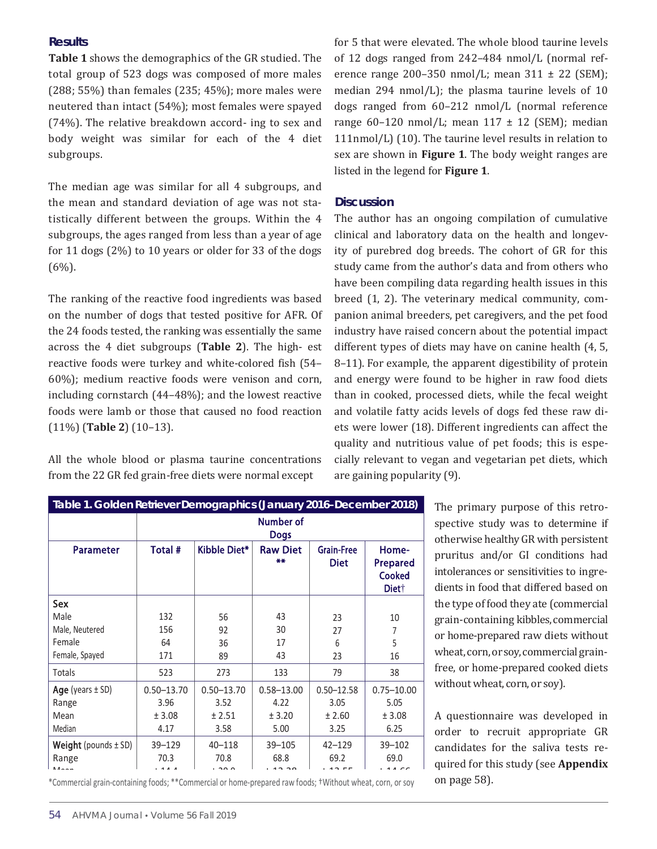#### **Results**

**Table 1** shows the demographics of the GR studied. The total group of 523 dogs was composed of more males (288; 55%) than females (235; 45%); more males were neutered than intact (54%); most females were spayed (74%). The relative breakdown accord- ing to sex and body weight was similar for each of the 4 diet subgroups.

The median age was similar for all 4 subgroups, and the mean and standard deviation of age was not statistically different between the groups. Within the 4 subgroups, the ages ranged from less than a year of age for 11 dogs (2%) to 10 years or older for 33 of the dogs  $(6\%)$ .

The ranking of the reactive food ingredients was based on the number of dogs that tested positive for AFR. Of the 24 foods tested, the ranking was essentially the same across the 4 diet subgroups (**Table 2**). The high- est reactive foods were turkey and white-colored fish (54– 60%); medium reactive foods were venison and corn, including cornstarch (44–48%); and the lowest reactive foods were lamb or those that caused no food reaction (11%) (**Table 2**) (10–13).

All the whole blood or plasma taurine concentrations from the 22 GR fed grain-free diets were normal except

for 5 that were elevated. The whole blood taurine levels of 12 dogs ranged from 242–484 nmol/L (normal reference range 200–350 nmol/L; mean  $311 \pm 22$  (SEM); median 294 nmol/L); the plasma taurine levels of 10 dogs ranged from 60–212 nmol/L (normal reference range 60-120 nmol/L; mean  $117 \pm 12$  (SEM); median 111nmol/L) (10). The taurine level results in relation to sex are shown in **Figure 1**. The body weight ranges are listed in the legend for **Figure 1**.

#### **Discussion**

The author has an ongoing compilation of cumulative clinical and laboratory data on the health and longevity of purebred dog breeds. The cohort of GR for this study came from the author's data and from others who have been compiling data regarding health issues in this breed (1, 2). The veterinary medical community, companion animal breeders, pet caregivers, and the pet food industry have raised concern about the potential impact different types of diets may have on canine health (4, 5, 8–11). For example, the apparent digestibility of protein and energy were found to be higher in raw food diets than in cooked, processed diets, while the fecal weight and volatile fatty acids levels of dogs fed these raw diets were lower (18). Different ingredients can affect the quality and nutritious value of pet foods; this is especially relevant to vegan and vegetarian pet diets, which are gaining popularity (9).

| Table 1. Golden Retriever Demographics (January 2016–December 2018) |                          |                |                       |                                  |                                                                |  |
|---------------------------------------------------------------------|--------------------------|----------------|-----------------------|----------------------------------|----------------------------------------------------------------|--|
|                                                                     | Number of<br><b>Dogs</b> |                |                       |                                  |                                                                |  |
| <b>Parameter</b>                                                    | Total #                  | Kibble Diet*   | <b>Raw Diet</b><br>** | <b>Grain-Free</b><br><b>Diet</b> | Home-<br><b>Prepared</b><br><b>Cooked</b><br>Diet <sup>+</sup> |  |
| Sex                                                                 |                          |                |                       |                                  |                                                                |  |
| Male                                                                | 132                      | 56             | 43                    | 23                               | 10                                                             |  |
| Male, Neutered                                                      | 156                      | 92             | 30                    | 27                               | 7                                                              |  |
| Female                                                              | 64                       | 36             | 17                    | 6                                | 5                                                              |  |
| Female, Spayed                                                      | 171                      | 89             | 43                    | 23                               | 16                                                             |  |
| Totals                                                              | 523                      | 273            | 133                   | 79                               | 38                                                             |  |
| Age (years $\pm$ SD)                                                | $0.50 - 13.70$           | $0.50 - 13.70$ | $0.58 - 13.00$        | $0.50 - 12.58$                   | $0.75 - 10.00$                                                 |  |
| Range                                                               | 3.96                     | 3.52           | 4.22                  | 3.05                             | 5.05                                                           |  |
| Mean                                                                | ± 3.08                   | ± 2.51         | ± 3.20                | ± 2.60                           | ± 3.08                                                         |  |
| Median                                                              | 4.17                     | 3.58           | 5.00                  | 3.25                             | 6.25                                                           |  |
| <b>Weight</b> (pounds $\pm$ SD)                                     | $39 - 129$               | $40 - 118$     | $39 - 105$            | $42 - 129$                       | 39-102                                                         |  |
| Range                                                               | 70.3                     | 70.8           | 68.8                  | 69.2                             | 69.0                                                           |  |

\*Commercial grain-containing foods; \*\*Commercial or home-prepared raw foods; †Without wheat, corn, or soy

The primary purpose of this retrospective study was to determine if otherwise healthyGR with persistent pruritus and/or GI conditions had intolerances or sensitivities to ingredients in food that differed based on the type of food they ate (commercial grain-containing kibbles,commercial or home-prepared raw diets without wheat, corn, or soy, commercial grainfree, or home-prepared cooked diets without wheat, corn, or soy).

A questionnaire was developed in order to recruit appropriate GR candidates for the saliva tests required for this study (see **Appendix**  on page 58).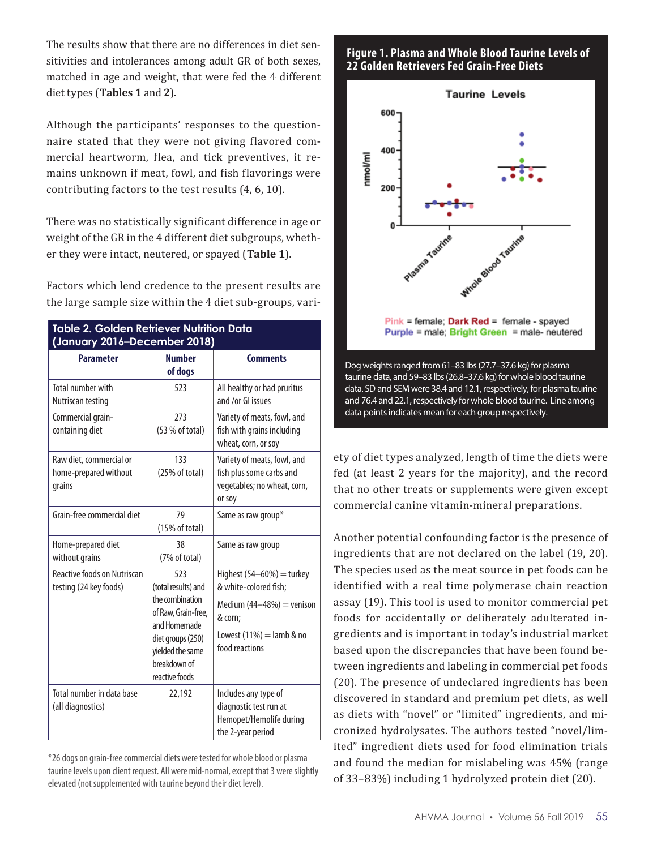The results show that there are no differences in diet sensitivities and intolerances among adult GR of both sexes, matched in age and weight, that were fed the 4 different diet types (**Tables 1** and **2**).

Although the participants' responses to the questionnaire stated that they were not giving flavored commercial heartworm, flea, and tick preventives, it remains unknown if meat, fowl, and fish flavorings were contributing factors to the test results (4, 6, 10).

There was no statistically significant difference in age or weight of the GR in the 4 different diet subgroups, whether they were intact, neutered, or spayed (**Table 1**).

Factors which lend credence to the present results are the large sample size within the 4 diet sub-groups, vari-

| Table 2. Golden Retriever Nutrition Data<br>(January 2016-December 2018) |                                                                                                                                                                 |                                                                                                                                                |  |  |
|--------------------------------------------------------------------------|-----------------------------------------------------------------------------------------------------------------------------------------------------------------|------------------------------------------------------------------------------------------------------------------------------------------------|--|--|
| <b>Parameter</b>                                                         | <b>Number</b><br>of dogs                                                                                                                                        | <b>Comments</b>                                                                                                                                |  |  |
| <b>Total number with</b><br>Nutriscan testing                            | 523                                                                                                                                                             | All healthy or had pruritus<br>and /or GI issues                                                                                               |  |  |
| Commercial grain-<br>containing diet                                     | 273<br>(53 % of total)                                                                                                                                          | Variety of meats, fowl, and<br>fish with grains including<br>wheat, corn, or soy                                                               |  |  |
| Raw diet, commercial or<br>home-prepared without<br>grains               | 133<br>(25% of total)                                                                                                                                           | Variety of meats, fowl, and<br>fish plus some carbs and<br>vegetables; no wheat, corn,<br>or soy                                               |  |  |
| Grain-free commercial diet                                               | 79<br>(15% of total)                                                                                                                                            | Same as raw group*                                                                                                                             |  |  |
| Home-prepared diet<br>without grains                                     | 38<br>(7% of total)                                                                                                                                             | Same as raw group                                                                                                                              |  |  |
| <b>Reactive foods on Nutriscan</b><br>testing (24 key foods)             | 523<br>(total results) and<br>the combination<br>of Raw, Grain-free,<br>and Homemade<br>diet groups (250)<br>yielded the same<br>breakdown of<br>reactive foods | Highest $(54-60%)$ = turkey<br>& white-colored fish;<br>Medium $(44-48%)$ = venison<br>& corn;<br>Lowest $(11%) =$ lamb & no<br>food reactions |  |  |
| Total number in data base<br>(all diagnostics)                           | 22,192                                                                                                                                                          | Includes any type of<br>diagnostic test run at<br>Hemopet/Hemolife during<br>the 2-year period                                                 |  |  |

\*26 dogs on grain-free commercial diets were tested for whole blood or plasma taurine levels upon client request. All were mid-normal, except that 3 were slightly elevated (not supplemented with taurine beyond their diet level).

## **Figure 1. Plasma and Whole Blood Taurine Levels of 22 Golden Retrievers Fed Grain-Free Diets**



taurine data, and 59–83 lbs (26.8–37.6 kg) for whole blood taurine data. SD and SEM were 38.4 and 12.1, respectively, for plasma taurine and 76.4 and 22.1, respectively for whole blood taurine. Line among data points indicates mean for each group respectively.

ety of diet types analyzed, length of time the diets were fed (at least 2 years for the majority), and the record that no other treats or supplements were given except commercial canine vitamin-mineral preparations.

Another potential confounding factor is the presence of ingredients that are not declared on the label (19, 20). The species used as the meat source in pet foods can be identified with a real time polymerase chain reaction assay (19). This tool is used to monitor commercial pet foods for accidentally or deliberately adulterated ingredients and is important in today's industrial market based upon the discrepancies that have been found between ingredients and labeling in commercial pet foods (20). The presence of undeclared ingredients has been discovered in standard and premium pet diets, as well as diets with "novel" or "limited" ingredients, and micronized hydrolysates. The authors tested "novel/limited" ingredient diets used for food elimination trials and found the median for mislabeling was 45% (range of 33–83%) including 1 hydrolyzed protein diet (20).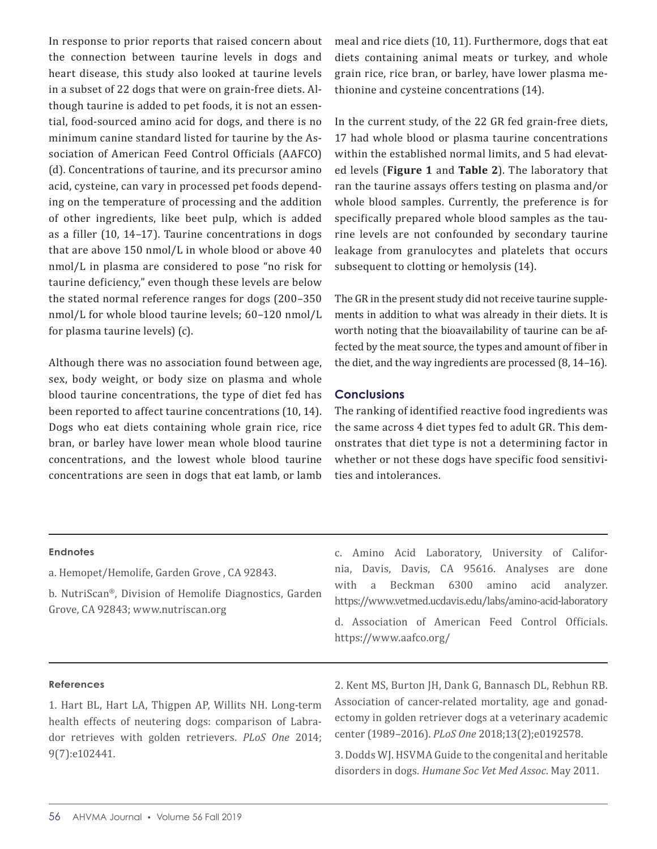In response to prior reports that raised concern about the connection between taurine levels in dogs and heart disease, this study also looked at taurine levels in a subset of 22 dogs that were on grain-free diets. Although taurine is added to pet foods, it is not an essential, food-sourced amino acid for dogs, and there is no minimum canine standard listed for taurine by the Association of American Feed Control Officials (AAFCO) (d). Concentrations of taurine, and its precursor amino acid, cysteine, can vary in processed pet foods depending on the temperature of processing and the addition of other ingredients, like beet pulp, which is added as a filler (10, 14–17). Taurine concentrations in dogs that are above 150 nmol/L in whole blood or above 40 nmol/L in plasma are considered to pose "no risk for taurine deficiency," even though these levels are below the stated normal reference ranges for dogs (200–350 nmol/L for whole blood taurine levels; 60–120 nmol/L for plasma taurine levels) (c).

Although there was no association found between age, sex, body weight, or body size on plasma and whole blood taurine concentrations, the type of diet fed has been reported to affect taurine concentrations (10, 14). Dogs who eat diets containing whole grain rice, rice bran, or barley have lower mean whole blood taurine concentrations, and the lowest whole blood taurine concentrations are seen in dogs that eat lamb, or lamb

meal and rice diets (10, 11). Furthermore, dogs that eat diets containing animal meats or turkey, and whole grain rice, rice bran, or barley, have lower plasma methionine and cysteine concentrations (14).

In the current study, of the 22 GR fed grain-free diets, 17 had whole blood or plasma taurine concentrations within the established normal limits, and 5 had elevated levels (**Figure 1** and **Table 2**). The laboratory that ran the taurine assays offers testing on plasma and/or whole blood samples. Currently, the preference is for specifically prepared whole blood samples as the taurine levels are not confounded by secondary taurine leakage from granulocytes and platelets that occurs subsequent to clotting or hemolysis (14).

The GR in the present study did not receive taurine supplements in addition to what was already in their diets. It is worth noting that the bioavailability of taurine can be affected by the meat source, the types and amount of fiber in the diet, and the way ingredients are processed (8, 14–16).

#### **Conclusions**

The ranking of identified reactive food ingredients was the same across 4 diet types fed to adult GR. This demonstrates that diet type is not a determining factor in whether or not these dogs have specific food sensitivities and intolerances.

| <b>Endnotes</b><br>a. Hemopet/Hemolife, Garden Grove, CA 92843.<br>b. NutriScan®, Division of Hemolife Diagnostics, Garden<br>Grove, CA 92843; www.nutriscan.org | c. Amino Acid Laboratory, University of Califor-<br>nia, Davis, Davis, CA 95616. Analyses are done<br>Beckman 6300<br>amino<br>acid<br>analyzer.<br>with<br>a a<br>https://www.vetmed.ucdavis.edu/labs/amino-acid-laboratory<br>d. Association of American Feed Control Officials. |  |  |  |
|------------------------------------------------------------------------------------------------------------------------------------------------------------------|------------------------------------------------------------------------------------------------------------------------------------------------------------------------------------------------------------------------------------------------------------------------------------|--|--|--|
|                                                                                                                                                                  | https://www.aafco.org/                                                                                                                                                                                                                                                             |  |  |  |
| <b>References</b><br>1. Hart BL, Hart LA, Thigpen AP, Willits NH. Long-term<br>health effects of neutering dogs: comparison of Labra-                            | 2. Kent MS, Burton JH, Dank G, Bannasch DL, Rebhun RB.<br>Association of cancer-related mortality, age and gonad-<br>ectomy in golden retriever dogs at a veterinary academic                                                                                                      |  |  |  |

dor retrieves with golden retrievers. *PLoS One* 2014; 9(7):e102441. center (1989–2016). *PLoS One* 2018;13(2);e0192578.

3. Dodds WJ. HSVMA Guide to the congenital and heritable disorders in dogs*. Humane Soc Vet Med Assoc*. May 2011.